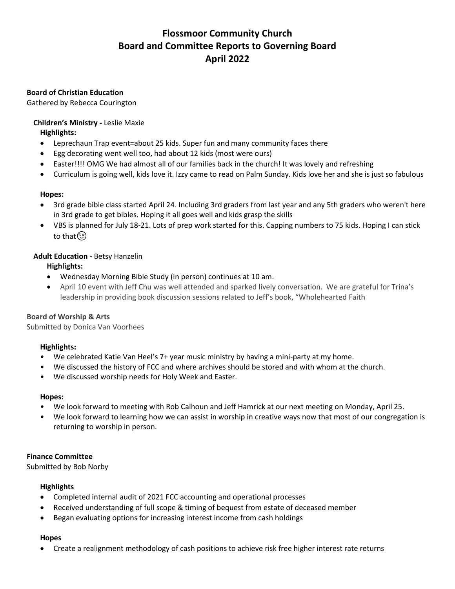# **Flossmoor Community Church Board and Committee Reports to Governing Board April 2022**

# **Board of Christian Education**

Gathered by Rebecca Courington

# **Children's Ministry -** Leslie Maxie

**Highlights:**

- Leprechaun Trap event=about 25 kids. Super fun and many community faces there
- Egg decorating went well too, had about 12 kids (most were ours)
- Easter!!!! OMG We had almost all of our families back in the church! It was lovely and refreshing
- Curriculum is going well, kids love it. Izzy came to read on Palm Sunday. Kids love her and she is just so fabulous

# **Hopes:**

- 3rd grade bible class started April 24. Including 3rd graders from last year and any 5th graders who weren't here in 3rd grade to get bibles. Hoping it all goes well and kids grasp the skills
- VBS is planned for July 18-21. Lots of prep work started for this. Capping numbers to 75 kids. Hoping I can stick to that ( $\Im$ )

# **Adult Education -** Betsy Hanzelin

**Highlights:**

- Wednesday Morning Bible Study (in person) continues at 10 am.
- April 10 event with Jeff Chu was well attended and sparked lively conversation. We are grateful for Trina's leadership in providing book discussion sessions related to Jeff's book, "Wholehearted Faith

# **Board of Worship & Arts**

Submitted by Donica Van Voorhees

# **Highlights:**

- We celebrated Katie Van Heel's 7+ year music ministry by having a mini-party at my home.
- We discussed the history of FCC and where archives should be stored and with whom at the church.
- We discussed worship needs for Holy Week and Easter.

# **Hopes:**

- We look forward to meeting with Rob Calhoun and Jeff Hamrick at our next meeting on Monday, April 25.
- We look forward to learning how we can assist in worship in creative ways now that most of our congregation is returning to worship in person.

# **Finance Committee**

Submitted by Bob Norby

# **Highlights**

- Completed internal audit of 2021 FCC accounting and operational processes
- Received understanding of full scope & timing of bequest from estate of deceased member
- Began evaluating options for increasing interest income from cash holdings

# **Hopes**

• Create a realignment methodology of cash positions to achieve risk free higher interest rate returns